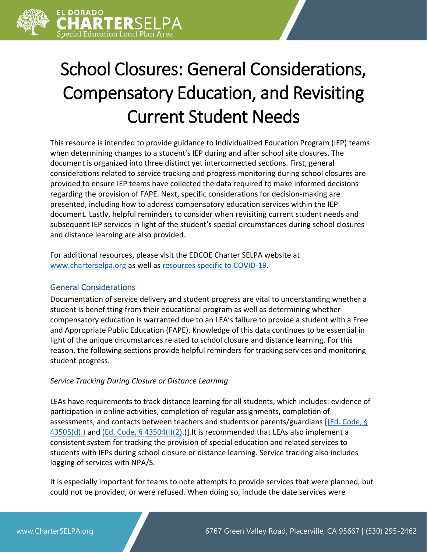

# School Closures: General Considerations, Compensatory Education, and Revisiting Current Student Needs

This resource is intended to provide guidance to Individualized Education Program (IEP) teams when determining changes to a student's IEP during and after school site closures. The document is organized into three distinct yet interconnected sections. First, general considerations related to service tracking and progress monitoring during school closures are provided to ensure IEP teams have collected the data required to make informed decisions regarding the provision of FAPE. Next, specific considerations for decision-making are presented, including how to address compensatory education services within the IEP document. Lastly, helpful reminders to consider when revisiting current student needs and subsequent IEP services in light of the student's special circumstances during school closures and distance learning are also provided.

For additional resources, please visit the EDCOE Charter SELPA website at [www.charterselpa.org](http://www.charterselpa.org/) as well a[s resources specific to COVID-19.](https://charterselpa.org/covid-19-guidance-and-resources/)

## General Considerations

Documentation of service delivery and student progress are vital to understanding whether a student is benefitting from their educational program as well as determining whether compensatory education is warranted due to an LEA's failure to provide a student with a Free and Appropriate Public Education (FAPE). Knowledge of this data continues to be essential in light of the unique circumstances related to school closure and distance learning. For this reason, the following sections provide helpful reminders for tracking services and monitoring student progress.

## *Service Tracking During Closure or Distance Learning*

LEAs have requirements to track distance learning for all students, which includes: evidence of participation in online activities, completion of regular assignments, completion of assessments, and contacts between teachers and students or parents/guardians [\[\(Ed. Code, §](https://leginfo.legislature.ca.gov/faces/codes_displaySection.xhtml?sectionNum=43505&lawCode=EDC)  [43505\(d\).\)](https://leginfo.legislature.ca.gov/faces/codes_displaySection.xhtml?sectionNum=43505&lawCode=EDC) and [\(Ed. Code, § 43504\(i\)\(2\).](https://leginfo.legislature.ca.gov/faces/codes_displaySection.xhtml?sectionNum=43504&lawCode=EDC))]. It is recommended that LEAs also implement a consistent system for tracking the provision of special education and related services to students with IEPs during school closure or distance learning. Service tracking also includes logging of services with NPA/S.

It is especially important for teams to note attempts to provide services that were planned, but could not be provided, or were refused. When doing so, include the date services were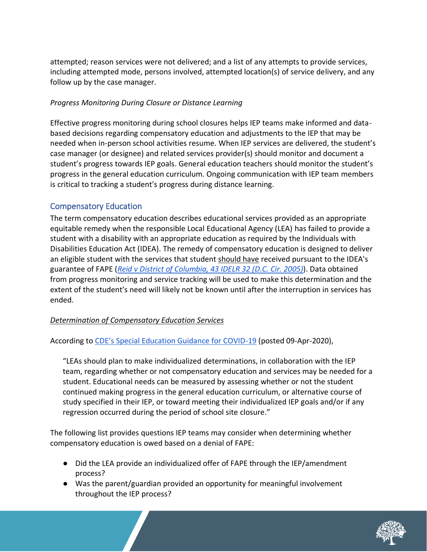attempted; reason services were not delivered; and a list of any attempts to provide services, including attempted mode, persons involved, attempted location(s) of service delivery, and any follow up by the case manager.

## *Progress Monitoring During Closure or Distance Learning*

Effective progress monitoring during school closures helps IEP teams make informed and databased decisions regarding compensatory education and adjustments to the IEP that may be needed when in-person school activities resume. When IEP services are delivered, the student's case manager (or designee) and related services provider(s) should monitor and document a student's progress towards IEP goals. General education teachers should monitor the student's progress in the general education curriculum. Ongoing communication with IEP team members is critical to tracking a student's progress during distance learning.

## Compensatory Education

The term compensatory education describes educational services provided as an appropriate equitable remedy when the responsible Local Educational Agency (LEA) has failed to provide a student with a disability with an appropriate education as required by the Individuals with Disabilities Education Act (IDEA). The remedy of compensatory education is designed to deliver an eligible student with the services that student should have received pursuant to the IDEA's guarantee of FAPE (*[Reid v District of Columbia, 43 IDELR 32 \(D.C.](https://padlet-uploads.storage.googleapis.com/671999694/a0f9572240dff7a2c5a6813759a009d9/comp_ed_determination__002_.pdf) Cir. 2005)*). Data obtained from progress monitoring and service tracking will be used to make this determination and the extent of the student's need will likely not be known until after the interruption in services has ended.

## *Determination of Compensatory Education Services*

According to [CDE's Special Education Guidance for COVID](https://www.cde.ca.gov/ls/he/hn/specialedcovid19guidance.asp)-19 (posted 09-Apr-2020),

"LEAs should plan to make individualized determinations, in collaboration with the IEP team, regarding whether or not compensatory education and services may be needed for a student. Educational needs can be measured by assessing whether or not the student continued making progress in the general education curriculum, or alternative course of study specified in their IEP, or toward meeting their individualized IEP goals and/or if any regression occurred during the period of school site closure."

The following list provides questions IEP teams may consider when determining whether compensatory education is owed based on a denial of FAPE:

- Did the LEA provide an individualized offer of FAPE through the IEP/amendment process?
- Was the parent/guardian provided an opportunity for meaningful involvement throughout the IEP process?

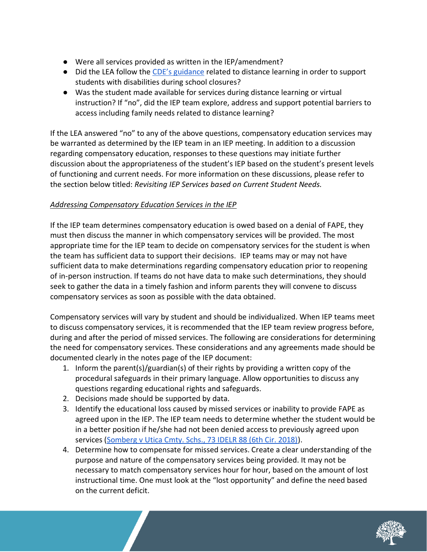- Were all services provided as written in the IEP/amendment?
- Did the LEA follow the [CDE's guidance](https://www.cde.ca.gov/ci/cr/dl/distlearningfaqs.asp) related to distance learning in order to support students with disabilities during school closures?
- Was the student made available for services during distance learning or virtual instruction? If "no", did the IEP team explore, address and support potential barriers to access including family needs related to distance learning?

If the LEA answered "no" to any of the above questions, compensatory education services may be warranted as determined by the IEP team in an IEP meeting. In addition to a discussion regarding compensatory education, responses to these questions may initiate further discussion about the appropriateness of the student's IEP based on the student's present levels of functioning and current needs. For more information on these discussions, please refer to the section below titled: *Revisiting IEP Services based on Current Student Needs.*

## *Addressing Compensatory Education Services in the IEP*

If the IEP team determines compensatory education is owed based on a denial of FAPE, they must then discuss the manner in which compensatory services will be provided. The most appropriate time for the IEP team to decide on compensatory services for the student is when the team has sufficient data to support their decisions. IEP teams may or may not have sufficient data to make determinations regarding compensatory education prior to reopening of in-person instruction. If teams do not have data to make such determinations, they should seek to gather the data in a timely fashion and inform parents they will convene to discuss compensatory services as soon as possible with the data obtained.

Compensatory services will vary by student and should be individualized. When IEP teams meet to discuss compensatory services, it is recommended that the IEP team review progress before, during and after the period of missed services. The following are considerations for determining the need for compensatory services. These considerations and any agreements made should be documented clearly in the notes page of the IEP document:

- 1. Inform the parent(s)/guardian(s) of their rights by providing a written copy of the procedural safeguards in their primary language. Allow opportunities to discuss any questions regarding educational rights and safeguards.
- 2. Decisions made should be supported by data.
- 3. Identify the educational loss caused by missed services or inability to provide FAPE as agreed upon in the IEP. The IEP team needs to determine whether the student would be in a better position if he/she had not been denied access to previously agreed upon services [\(Somberg v Utica Cmty. Schs., 73 IDELR 88 \(6th Cir. 2018\)\)](https://padlet-uploads.storage.googleapis.com/671999694/a0f9572240dff7a2c5a6813759a009d9/comp_ed_determination__002_.pdf).
- 4. Determine how to compensate for missed services. Create a clear understanding of the purpose and nature of the compensatory services being provided. It may not be necessary to match compensatory services hour for hour, based on the amount of lost instructional time. One must look at the "lost opportunity" and define the need based on the current deficit.

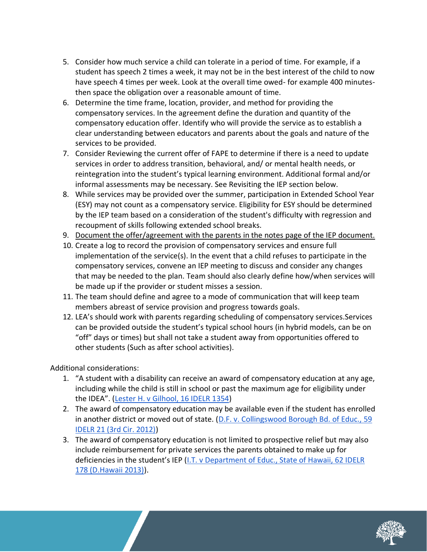- 5. Consider how much service a child can tolerate in a period of time. For example, if a student has speech 2 times a week, it may not be in the best interest of the child to now have speech 4 times per week. Look at the overall time owed- for example 400 minutesthen space the obligation over a reasonable amount of time.
- 6. Determine the time frame, location, provider, and method for providing the compensatory services. In the agreement define the duration and quantity of the compensatory education offer. Identify who will provide the service as to establish a clear understanding between educators and parents about the goals and nature of the services to be provided.
- 7. Consider Reviewing the current offer of FAPE to determine if there is a need to update services in order to address transition, behavioral, and/ or mental health needs, or reintegration into the student's typical learning environment. Additional formal and/or informal assessments may be necessary. See Revisiting the IEP section below.
- 8. While services may be provided over the summer, participation in Extended School Year (ESY) may not count as a compensatory service. Eligibility for ESY should be determined by the IEP team based on a consideration of the student's difficulty with regression and recoupment of skills following extended school breaks.
- 9. Document the offer/agreement with the parents in the notes page of the IEP document.
- 10. Create a log to record the provision of compensatory services and ensure full implementation of the service(s). In the event that a child refuses to participate in the compensatory services, convene an IEP meeting to discuss and consider any changes that may be needed to the plan. Team should also clearly define how/when services will be made up if the provider or student misses a session.
- 11. The team should define and agree to a mode of communication that will keep team members abreast of service provision and progress towards goals.
- 12. LEA's should work with parents regarding scheduling of compensatory services.Services can be provided outside the student's typical school hours (in hybrid models, can be on "off" days or times) but shall not take a student away from opportunities offered to other students (Such as after school activities).

Additional considerations:

- 1. "A student with a disability can receive an award of compensatory education at any age, including while the child is still in school or past the maximum age for eligibility under the IDEA". ([Lester H. v Gilhool, 16 IDELR 1354\)](https://padlet-uploads.storage.googleapis.com/671999694/a0f9572240dff7a2c5a6813759a009d9/comp_ed_determination__002_.pdf)
- 2. The award of compensatory education may be available even if the student has enrolled in another district or moved out of state. (D.F. v. Collingswood Borough Bd. of Educ., 59 [IDELR 21 \(3rd Cir. 2012\)\)](https://padlet-uploads.storage.googleapis.com/671999694/a0f9572240dff7a2c5a6813759a009d9/comp_ed_determination__002_.pdf)
- 3. The award of compensatory education is not limited to prospective relief but may also include reimbursement for private services the parents obtained to make up for deficiencies in the student's IEP ([I.T. v Department of Educ., State of Hawaii, 62 IDELR](https://padlet-uploads.storage.googleapis.com/671999694/a0f9572240dff7a2c5a6813759a009d9/comp_ed_determination__002_.pdf)  [178 \(D.Hawaii 2013\)\)](https://padlet-uploads.storage.googleapis.com/671999694/a0f9572240dff7a2c5a6813759a009d9/comp_ed_determination__002_.pdf).

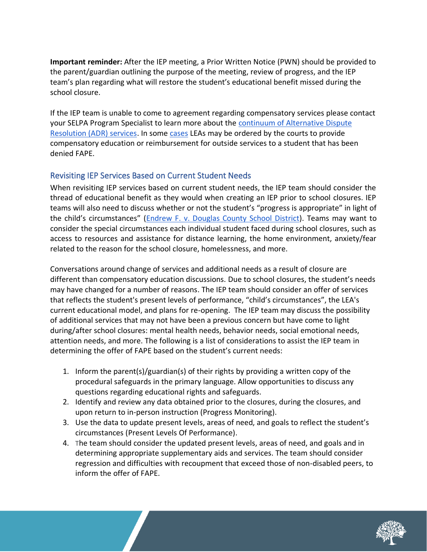**Important reminder:** After the IEP meeting, a Prior Written Notice (PWN) should be provided to the parent/guardian outlining the purpose of the meeting, review of progress, and the IEP team's plan regarding what will restore the student's educational benefit missed during the school closure.

If the IEP team is unable to come to agreement regarding compensatory services please contact your SELPA Program Specialist to learn more about the [continuum of Alternative Dispute](https://beehively-websites.s3.amazonaws.com/sites/52f1378d1defc52908000002/content_entry536370011defc5e9fd00008b/5d66b8ded6df028d9a000ce2/files/ADR_Flyer.pdf)  [Resolution \(ADR\) services.](https://beehively-websites.s3.amazonaws.com/sites/52f1378d1defc52908000002/content_entry536370011defc5e9fd00008b/5d66b8ded6df028d9a000ce2/files/ADR_Flyer.pdf) In some [cases](https://padlet-uploads.storage.googleapis.com/671999694/a0f9572240dff7a2c5a6813759a009d9/comp_ed_determination__002_.pdf) LEAs may be ordered by the courts to provide compensatory education or reimbursement for outside services to a student that has been denied FAPE.

## Revisiting IEP Services Based on Current Student Needs

When revisiting IEP services based on current student needs, the IEP team should consider the thread of educational benefit as they would when creating an IEP prior to school closures. IEP teams will also need to discuss whether or not the student's "progress is appropriate" in light of the child's circumstances" ([Endrew F. v. Douglas County School District\)](https://sites.ed.gov/idea/files/qa-endrewcase-12-07-2017.pdf). Teams may want to consider the special circumstances each individual student faced during school closures, such as access to resources and assistance for distance learning, the home environment, anxiety/fear related to the reason for the school closure, homelessness, and more.

Conversations around change of services and additional needs as a result of closure are different than compensatory education discussions. Due to school closures, the student's needs may have changed for a number of reasons. The IEP team should consider an offer of services that reflects the student's present levels of performance, "child's circumstances", the LEA's current educational model, and plans for re-opening. The IEP team may discuss the possibility of additional services that may not have been a previous concern but have come to light during/after school closures: mental health needs, behavior needs, social emotional needs, attention needs, and more. The following is a list of considerations to assist the IEP team in determining the offer of FAPE based on the student's current needs:

- 1. Inform the parent(s)/guardian(s) of their rights by providing a written copy of the procedural safeguards in the primary language. Allow opportunities to discuss any questions regarding educational rights and safeguards.
- 2. Identify and review any data obtained prior to the closures, during the closures, and upon return to in-person instruction (Progress Monitoring).
- 3. Use the data to update present levels, areas of need, and goals to reflect the student's circumstances (Present Levels Of Performance).
- 4. The team should consider the updated present levels, areas of need, and goals and in determining appropriate supplementary aids and services. The team should consider regression and difficulties with recoupment that exceed those of non-disabled peers, to inform the offer of FAPE.